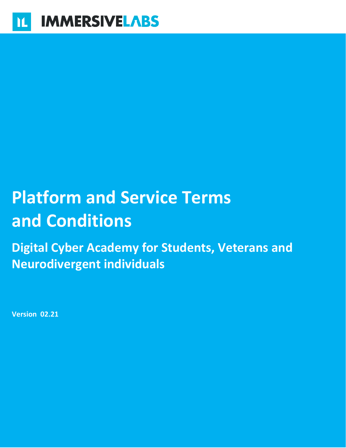# **Platform and Service Terms and Conditions**

**Digital Cyber Academy for Students, Veterans and Neurodivergent individuals**

**Version 02.21**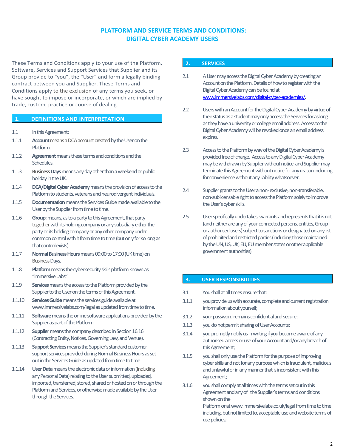#### **PLATFORM AND SERVICE TERMS AND CONDITIONS: DIGITAL CYBER ACADEMY USERS**

These Terms and Conditions apply to your use of the Platform, Software, Services and Support Services that Supplier and its Group provide to "you", the "User" and form a legally binding contract between you and Supplier. These Terms and Conditions apply to the exclusion of any terms you seek, or have sought to impose or incorporate, or which are implied by trade, custom, practice or course of dealing.

#### **1. DEFINITIONS AND INTERPRETATION**

- 1.1 In this Agreement:
- 1.1.1 **Account**means aDCAaccount created by the Useron the Platform.
- 1.1.2 **Agreement** means these terms and conditions and the Schedules.
- 1.1.3 **BusinessDays**means any day other than a weekend or public holiday in the UK.
- 1.1.4 **DCA/Digital Cyber Academy** means the provision of access to the Platform to students, veterans and neurodivergent individuals.
- 1.1.5 **Documentation**means the Services Guide made available to the User by the Supplier from time to time.
- 1.1.6 **Group**: means, as to a party to this Agreement, that party together with its holding company or any subsidiary either the party or its holding company or any other company under common control with it from time to time (but only for so long as that control exists).
- 1.1.7 **Normal Business Hours** means 09:00 to 17:00 (UK time) on BusinessDays.
- 1.1.8 **Platform**means the cyber security skills platform known as "Immersive Labs".
- 1.1.9 **Services**means the access to the Platform provided by the Supplier to the User on the terms of this Agreement.
- 1.1.10 **Services Guide**means the services guide available at www.Immersivelabs.com/legal as updated from time to time.
- 1.1.11 **Software**means the online software applications provided by the Supplier as part of the Platform.
- 1.1.12 **Supplier**means the company described in Section 16.16 (Contracting Entity, Notices, Governing Law, and Venue).
- 1.1.13 **Support Services**means the Supplier's standard customer support services provided during Normal Business Hours as set out in the Services Guide as updated from time to time.
- 1.1.14 **UserData**means the electronic data or information (Including any Personal Data) relating to the User submitted, uploaded, imported, transferred, stored, shared or hosted on or through the Platform and Services, or otherwise made available by the User through the Services.

#### **2. SERVICES**

- 2.1 A User may access the Digital Cyber Academy by creating an Account on the Platform. Details of how to register with the Digital Cyber Academy can be found at [www.immersivelabs.com/digital-cyber-academies/.](https://www.immersivelabs.com/digital-cyber-academies/)
- 2.2 Users with an Account for the Digital Cyber Academy by virtue of their status as a student may only access the Services for as long as they have a university or college email address. Access to the Digital Cyber Academy will be revoked once anemail address expires.
- 2.3 Access to the Platform by way of the Digital Cyber Academy is provided free of charge. Access to any Digital Cyber Academy may be withdrawn by Supplier without notice and Supplier may terminate this Agreement without notice for any reason including for convenience without any liability whatsoever.
- 2.4 Supplier grants to the User a non-exclusive, non-transferable, non-sublicensable right to access the Platform solely to improve the User's cyber skills.
- 2.5 User specifically undertakes, warrants and represents that it is not (and neither are any of your connected persons, entities, Group or authorised users) subject to sanctions or designated on any list of prohibited and restricted parties (including those maintained by the UN, US, UK, EU, EU member states or other applicable government authorities).

#### **3. USER RESPONSIBILITIES**

- 3.1 You shall at all times ensure that:
- 3.1.1 you provide us with accurate, complete and current registration information about yourself;
- 3.1.2 your password remains confidential and secure;
- 3.1.3 you donot permit sharing of User Accounts;
- 3.1.4 you promptly notify us in writing if you become aware of any authorised access or use of your Account and/or any breach of this Agreement;
- 3.1.5 youshall only use the Platform for the purpose of improving cyber skills and not for any purpose which is fraudulent, malicious and unlawful or in any manner that is inconsistent with this Agreement;
- 3.1.6 youshall comply at all times with the terms set out in this Agreement and any of the Supplier's terms and conditions shown on the

Platform or at www.immersivelabs.co.uk/legal from time to time including, but not limited to, acceptable use and website terms of use policies;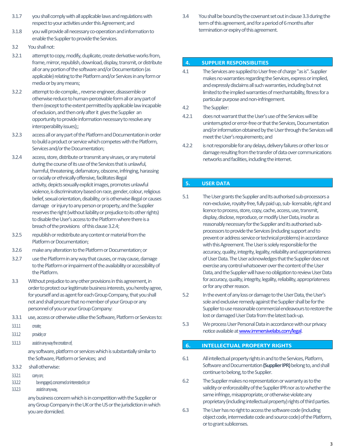- 3.1.7 youshall comply with all applicable laws and regulations with respect to your activities under this Agreement; and
- 3.1.8 youwill provide all necessary co-operation and information to enable the Supplier to provide the Services.
- 3.2 You shallnot:
- 3.2.1 attempt to copy, modify, duplicate, create derivative works from, frame, mirror, republish, download, display, transmit, or distribute all or any portion of the software and/or Documentation (as applicable) relating to the Platform and/or Services in any form or media or by any means;
- 3.2.2 attempt to de-compile, , reverse engineer, disassemble or otherwise reduce to human-perceivable form all or any part of them (except to the extent permitted by applicable law incapable of exclusion, and then only after it gives the Supplier an opportunity to provide information necessary to resolve any interoperability issues);;
- 3.2.3 access all or any part of the Platform and Documentation in order to build a product or service which competes with the Platform, Services and/or the Documentation;
- 3.2.4 access, store, distribute or transmit any viruses, or any material during the course of its use of the Services that is unlawful, harmful, threatening, defamatory, obscene, infringing, harassing or racially or ethnically offensive, facilitates illegal activity, depicts sexually explicit images, promotes unlawful violence, is discriminatory based on race, gender, colour, religious belief, sexual orientation, disability, or is otherwise illegal or causes damage or injury to any person or property, and the Supplier reserves the right (without liability or prejudice to its other rights) to disable the User's access to the Platform where there is a breach of the provisions of this clause 3.2.4;
- 3.2.5 republish or redistribute any content or material from the Platform or Documentation;
- 3.2.6 make any alteration to the Platform or Documentation;or
- 3.2.7 use the Platform in any way that causes, or may cause, damage to the Platform or impairment of the availability or accessibility of the Platform.
- 3.3 Without prejudice to any other provisions in this agreement, in order to protect our legitimate business interests, you hereby agree, for yourself and as agent for each Group Company, that you shall not and shall procure that no member of your Group or any personnel of you or your Group Company:
- 3.3.1 use, access or otherwise utilise the Software, Platform or Services to:
- 3.3.1.1 create;
- 3.3.1.2 provide; or
- 3.3.1.3 assist in any way the creation of,

any software, platform or services which is substantially similar to the Software, Platform or Services; and

- 3.3.2 shall otherwise:
- 3.3.2.1 carry on;
- 3.3.2.2 be engaged, concernedor interested in; or
- 3.3.2.3 assist in any way,

any business concern which is in competition with the Supplier or any Group Company in the UK or the US or the jurisdiction in which you are domiciled.

3.4 You shall be bound by the covenant set out inclause 3.3during the term of this agreement, and for a period of 6 months after termination or expiry of this agreement.

#### **4. SUPPLIER RESPONSIBLITIES**

- 4.1 The Services are supplied to User free of charge "as is". Supplier makes no warranties regarding the Services, express or implied, and expressly disclaims all such warranties, including but not limited to the implied warranties of merchantability, fitness for a particular purpose and non-infringement.
- 4.2 The Supplier:
- 4.2.1 does not warrant that the User's use of the Services will be uninterrupted or error-free or that the Services, Documentation and/or information obtained by the Userthrough the Services will meet the User's requirements; and
- 4.2.2 is not responsible for any delays, delivery failures or other loss or damage resulting from the transfer of data over communications networks and facilities, including the internet.

#### **5. USER DATA**

- 5.1 The Usergrants the Supplier and Its authorised sub-processors a non-exclusive, royalty-free, fully paid up, sub-licensable, right and licence to process, store, copy, cache, access, use, transmit, display, disclose, reproduce, or modify User Data, insofar as reasonably necessary for the Supplier and its authorised subprocessors to provide the Services (including support and to prevent or address service or technical problems) in accordance with this Agreement. The User is solely responsible for the accuracy, quality, integrity, legality, reliability and appropriateness of User Data. The User acknowledges that the Supplier does not exercise any control whatsoever over the content of the User Data, and the Supplier will have no obligation to review User Data for accuracy, quality, integrity, legality, reliability, appropriateness or for any other reason.
- 5.2 In the event of any loss or damage to the User Data, the User's sole and exclusive remedy against the Supplier shall be for the Supplier to use reasonable commercial endeavours to restore the lost or damaged User Data from the latest back-up.
- 5.3 We process User Personal Data in accordance with our privacy notice available at **www.immersivelabs.com/legal.**

#### **6. INTELLECTUAL PROPERTY RIGHTS**

- 6.1 All intellectual property rights in and to the Services, Platform, Software and Documentation **(Supplier IPR)**belong to, and shall continue to belong, to the Supplier.
- 6.2 The Supplier makes no representation or warranty as to the validity or enforceability of the Supplier IPR nor as to whether the same infringe, misappropriate, or otherwise violate any proprietary (including intellectual property) rights of third parties.
- 6.3 The Userhas no right to access the software code (including object code, intermediate code and source code) of the Platform, or to grant sublicenses.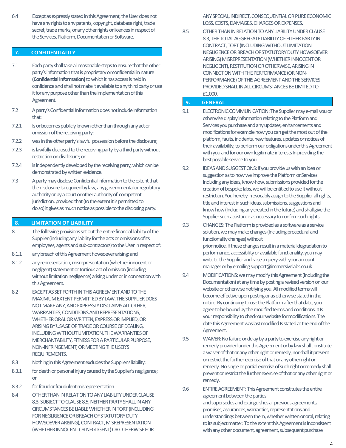6.4 Except as expressly stated in this Agreement, the Userdoes not have any rights to any patents, copyright, database right, trade secret, trade marks, or any other rights or licences in respect of the Services, Platform, Documentation or Software.

#### **7. CONFIDENTIALITY**

- 7.1 Each party shall take all reasonable steps to ensure that the other party's information that is proprietary or confidential in nature **(Confidential Information)**to which it has access is held in confidence and shall not make it available to any third party or use it for any purpose other than the implementation of this Agreement.
- 7.2 A party's Confidential Information does not include information that:
- 7.2.1 Is or becomes publicly known other than through any act or omission of the receiving party;
- 7.2.2 was inthe other party's lawful possession before the disclosure;
- 7.2.3 is lawfully disclosed to the receiving party by a third party without restriction on disclosure; or
- 7.2.4 is independently developed by the receiving party, which can be demonstrated by written evidence.
- 7.3 A party may disclose Confidential Information to the extent that the disclosure Is required by law, any governmental or regulatory authority or by a court or other authority of competent jurisdiction, provided that (to the extent it is permitted to do so) it gives as much notice as possible to the disclosing party.

#### **8. LIMITATION OF LIABILITY**

- 8.1 The following provisions set out the entire financial liability of the Supplier (including any liability for the acts or omissions of its employees, agents and sub-contractors) to the User in respect of:
- 8.1.1 any breach of this Agreement howsoever arising; and
- 8.1.2 any representation, misrepresentation (whether innocent or negligent) statement or tortious act of omission (including without limitation negligence) arising under or in connection with this Agreement.
- 8.2 EXCEPT AS SET FORTH IN THIS AGREEMENT AND TO THE MAXIMUM EXTENT PERMITTED BY LAW, THE SUPPLIER DOES NOT MAKE ANY, AND EXPRESSLY DISCLAIMS ALL OTHER, WARRANTIES, CONDITIONS AND REPRESENTATIONS, WHETHER ORAL OR WRITTEN, EXPRESS OR IMPLIED, OR ARISING BY USAGE OF TRADE OR COURSE OF DEALING, INCLUDING WITHOUT LIMITATION, THE WARRANTIES OF MERCHANTABILITY, FITNESS FOR A PARTICULAR PURPOSE, NON-INFRINGEMENT,OR MEETING THE USER'S REQUIREMENTS.
- 8.3 Nothing in this Agreement excludes the Supplier's liability:
- 8.3.1 for death or personal injury caused by the Supplier's negligence; or
- 8.3.2 for fraudor fraudulent misrepresentation.
- 8.4 OTHER THAN IN RELATION TO ANY LIABILITY UNDER CLAUSE 8.3, SUBJECT TO CLAUSE 8.5, NEITHER PARTY SHALL IN ANY CIRCUMSTANCES BE LIABLE WHETHER IN TORT (INCLUDING FOR NEGLIGENCE OR BREACH OF STATUTORY DUTY HOWSOEVER ARISING), CONTRACT, MISREPRESENTATION (WHETHER INNOCENT OR NEGLIGENT) OR OTHERWISE FOR

ANY SPECIAL, INDIRECT, CONSEQUENTIAL OR PURE ECONOMIC LOSS, COSTS, DAMAGES, CHARGES OR EXPENSES.

8.5 OTHER THAN IN RELATION TO ANY LIABILITY UNDER CLAUSE 8.3, THE TOTAL AGGREGATE LIABILITY OF EITHER PARTY IN CONTRACT, TORT (INCLUDING WITHOUT LIMITATION NEGLIGENCE OR BREACH OF STATUTORY DUTY HOWSOEVER ARISING) MISREPRESENTATION (WHETHER INNOCENT OR NEGLIGENT), RESTITUTION OR OTHERWISE, ARISING IN CONNECTION WITH THE PERFORMANCE (OR NON-PERFORMANCE) OF THIS AGREEMENT AND THE SERVICES PROVIDED SHALL IN ALL CIRCUMSTANCES BE LIMITED TO £1,000.

#### **9. GENERAL**

- 9.1 ELECTRONIC COMMUNICATION: The Supplier may e-mail you or otherwise display information relating to the Platform and Services you purchase and any updates, enhancements and modifications for example how you can get the most out of the platform, faults, incidents, new features, updates or notices of their availability, to perform our obligations under this Agreement with you and for our own legitimate interests In providing the best possible service to you.
- 9.2 IDEAS AND SUGGESTIONS: If you provide us with an idea or suggestion as to how we improve the Platform or Services Including anyideas, know-how, submissions provided for the creation of bespoke labs, we will be entitled to use It without restriction. You hereby irrevocably assign to the Supplier all rights, title and interest in such ideas, submissions, suggestions and know how (Including any created in the future) and shall give the Supplier such assistance as necessary to confirm such rights.
- 9.3 CHANGES: The Platform is provided as a software as a service solution, we may make changes (Including procedural and functionality changes) without prior notice. If these changes result in a material degradation to performance, accessibility or available functionality, you may write to the Supplier and raise a query with your account manager or by emailing support@immersivelabs.co.uk
- 9.4 MODIFICATIONS: we may modify this Agreement (Including the Documentation) at any time by posting a revised version on our website or otherwise notifying you. All modified terms will become effective upon posting or as otherwise stated in the notice. By continuing to use the Platform after that date, you agree to be bound by the modified terms and conditions. It Is your responsibility to check our website for modifications. The date this Agreement was last modified Is stated at the end of the Agreement.
- 9.5 WAIVER: No failure or delay by a party to exercise any right or remedy provided under this Agreement or by law shall constitute a waiver of that or any other right or remedy, nor shall it prevent or restrict the further exercise of that or any other right or remedy. No single or partial exercise of such right or remedy shall prevent or restrict the further exercise of that or any other right or remedy.
- 9.6 ENTIRE AGREEMENT: This Agreement constitutes the entire agreement between the parties and supersedes and extinguishes all previous agreements, promises, assurances, warranties, representations and understandings between them, whether written or oral, relating to its subject matter. To the extent this Agreement Is Inconsistent with any other document, agreement, subsequent purchase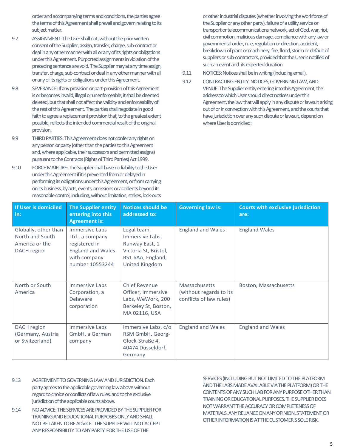order and accompanying terms and conditions, the parties agree the terms of this Agreement shall prevail and govern relating to its subject matter.

- 9.7 ASSIGNMENT: The Usershall not, without the prior written consent of the Supplier, assign, transfer, charge, sub-contract or deal in any other manner with all or any of its rights or obligations under this Agreement. Purported assignments in violation of the preceding sentence are void. The Supplier may at any time assign, transfer, charge, sub-contract or deal in any other manner with all or any of its rights or obligations under this Agreement.
- 9.8 SEVERANCE: If any provision or part-provision of this Agreement is or becomes invalid, illegal or unenforceable, it shall be deemed deleted, but that shall not affect the validity and enforceability of the rest of this Agreement. The parties shall negotiate in good faith to agree a replacement provision that, to the greatest extent possible, reflects the intended commercial result of the original provision.
- 9.9 THIRD PARTIES: This Agreement does not confer any rights on any person or party (other than the parties to this Agreement and, where applicable, their successors and permitted assigns) pursuant to the Contracts (Rights of Third Parties) Act 1999.
- 9.10 FORCE MAJEURE: The Supplier shall have no liability to the User under this Agreement if it is prevented from or delayed in performing its obligations under this Agreement, or from carrying on its business, by acts, events, omissions or accidents beyond its reasonable control, including, without limitation, strikes, lock-outs

or other industrial disputes (whether involving the workforce of the Supplier or any other party), failure of a utility service or transport or telecommunications network, act of God, war, riot, civil commotion, malicious damage, compliance with any law or governmental order, rule, regulation or direction, accident, breakdown of plant or machinery, fire, flood, storm or default of suppliers or sub-contractors, provided that the User is notified of such an event and its expected duration.

#### 9.11 NOTICES: Notices shall be in writing (including email).

9.12 CONTRACTING ENTITY, NOTICES, GOVERNING LAW, AND VENUE: The Supplier entity entering into this Agreement, the address to which Usershould direct notices under this Agreement, the law that will apply in any dispute or lawsuit arising out of or in connection with this Agreement, and the courts that have jurisdiction over any such dispute or lawsuit, depend on where Useris domiciled:

| If User is domiciled<br>$\mathsf{in}:$                                   | <b>The Supplier entity</b><br>entering into this<br><b>Agreement is:</b>                                          | <b>Notices should be</b><br>addressed to:                                                                        | <b>Governing law is:</b>                                            | <b>Courts with exclusive jurisdiction</b><br>are: |
|--------------------------------------------------------------------------|-------------------------------------------------------------------------------------------------------------------|------------------------------------------------------------------------------------------------------------------|---------------------------------------------------------------------|---------------------------------------------------|
| Globally, other than<br>North and South<br>America or the<br>DACH region | Immersive Labs<br>Ltd., a company<br>registered in<br><b>England and Wales</b><br>with company<br>number 10553244 | Legal team,<br>Immersive Labs,<br>Runway East, 1<br>Victoria St, Bristol,<br>BS1 6AA, England,<br>United Kingdom | <b>England and Wales</b>                                            | <b>England Wales</b>                              |
| North or South<br>America                                                | Immersive Labs<br>Corporation, a<br><b>Delaware</b><br>corporation                                                | <b>Chief Revenue</b><br>Officer, Immersive<br>Labs, WeWork, 200<br>Berkeley St, Boston,<br>MA 02116, USA         | Massachusetts<br>(without regards to its<br>conflicts of law rules) | Boston, Massachusetts                             |
| DACH region<br>(Germany, Austria<br>or Switzerland)                      | Immersive Labs<br>GmbH, a German<br>company                                                                       | Immersive Labs, c/o<br>RSM GmbH, Georg-<br>Glock-Straße 4,<br>40474 Düsseldorf,<br>Germany                       | <b>England and Wales</b>                                            | <b>England and Wales</b>                          |

- 9.13 AGREEMENT TO GOVERNING LAW AND JURISDICTION. Each party agrees to the applicable governing law above without regard to choice or conflicts of law rules, and to the exclusive jurisdiction of the applicable courts above.
- 9.14 NO ADVICE: THE SERVICES ARE PROVIDED BY THE SUPPLIER FOR TRAININGAND EDUCATIONALPURPOSES ONLYAND SHALL NOT BE TAKEN TO BE ADVICE. THE SUPPLIER WILL NOT ACCEPT ANY RESPONSIBILITY TO ANY PARTY FOR THE USE OF THE

SERVICES (INCLUDING BUT NOT LIMITED TO THE PLATFORM AND THE LABS MADEAVAILABLE VIA THE PLATFORM) OR THE CONTENTS OF ANY SUCH LAB FOR ANY PURPOSE OTHER THAN TRAININGOR EDUCATIONAL PURPOSES. THE SUPPLIER DOES NOTWARRANT THE ACCURACY OR COMPLETENESS OF MATERIALS. ANY RELIANCE ON ANY OPINION, STATEMENT OR OTHER INFORMATION IS AT THE CUSTOMER'S SOLE RISK.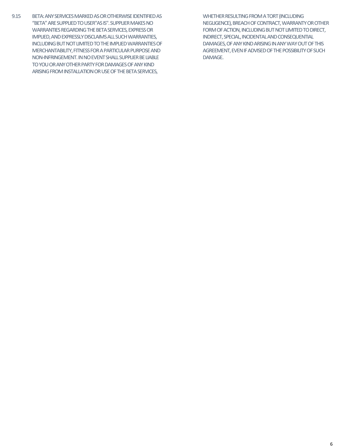9.15 BETA: ANY SERVICES MARKED ASOR OTHERWISE IDENTIFIED AS "BETA" ARE SUPPLIED TO USER"AS IS". SUPPLIER MAKES NO WARRANTIES REGARDING THE BETA SERVICES, EXPRESS OR IMPLIED, AND EXPRESSLY DISCLAIMS ALL SUCH WARRANTIES, INCLUDINGBUT NOT LIMITED TO THE IMPLIED WARRANTIES OF MERCHANTABILITY, FITNESS FOR A PARTICULAR PURPOSE AND NON-INFRINGEMENT.IN NO EVENT SHALLSUPPLIER BE LIABLE TO YOU OR ANY OTHER PARTY FOR DAMAGES OF ANY KIND ARISING FROM INSTALLATION OR USE OF THE BETA SERVICES,

WHETHER RESULTING FROM A TORT (INCLUDING NEGLIGENCE), BREACH OF CONTRACT, WARRANTY OR OTHER FORM OF ACTION, INCLUDING BUT NOT LIMITED TO DIRECT, INDIRECT, SPECIAL, INCIDENTAL AND CONSEQUENTIAL DAMAGES, OF ANY KIND ARISING IN ANY WAY OUT OF THIS AGREEMENT, EVEN IF ADVISED OF THE POSSIBILITY OF SUCH DAMAGE.